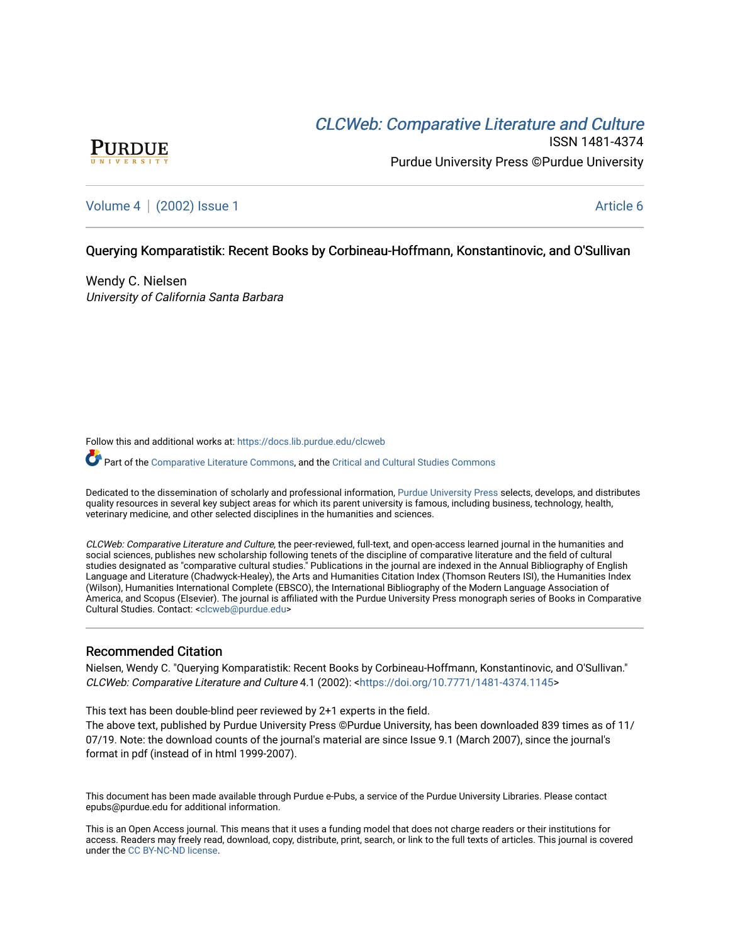# CLCW[eb: Comparative Liter](https://docs.lib.purdue.edu/clcweb)ature and Culture



ISSN 1481-4374 Purdue University Press ©Purdue University

# [Volume 4](https://docs.lib.purdue.edu/clcweb/vol4) | [\(2002\) Issue 1](https://docs.lib.purdue.edu/clcweb/vol4/iss1) Article 6

## Querying Komparatistik: Recent Books by Corbineau-Hoffmann, Konstantinovic, and O'Sullivan

Wendy C. Nielsen University of California Santa Barbara

Follow this and additional works at: [https://docs.lib.purdue.edu/clcweb](https://docs.lib.purdue.edu/clcweb?utm_source=docs.lib.purdue.edu%2Fclcweb%2Fvol4%2Fiss1%2F6&utm_medium=PDF&utm_campaign=PDFCoverPages)

Part of the [Comparative Literature Commons,](http://network.bepress.com/hgg/discipline/454?utm_source=docs.lib.purdue.edu%2Fclcweb%2Fvol4%2Fiss1%2F6&utm_medium=PDF&utm_campaign=PDFCoverPages) and the [Critical and Cultural Studies Commons](http://network.bepress.com/hgg/discipline/328?utm_source=docs.lib.purdue.edu%2Fclcweb%2Fvol4%2Fiss1%2F6&utm_medium=PDF&utm_campaign=PDFCoverPages) 

Dedicated to the dissemination of scholarly and professional information, [Purdue University Press](http://www.thepress.purdue.edu/) selects, develops, and distributes quality resources in several key subject areas for which its parent university is famous, including business, technology, health, veterinary medicine, and other selected disciplines in the humanities and sciences.

CLCWeb: Comparative Literature and Culture, the peer-reviewed, full-text, and open-access learned journal in the humanities and social sciences, publishes new scholarship following tenets of the discipline of comparative literature and the field of cultural studies designated as "comparative cultural studies." Publications in the journal are indexed in the Annual Bibliography of English Language and Literature (Chadwyck-Healey), the Arts and Humanities Citation Index (Thomson Reuters ISI), the Humanities Index (Wilson), Humanities International Complete (EBSCO), the International Bibliography of the Modern Language Association of America, and Scopus (Elsevier). The journal is affiliated with the Purdue University Press monograph series of Books in Comparative Cultural Studies. Contact: [<clcweb@purdue.edu](mailto:clcweb@purdue.edu)>

## Recommended Citation

Nielsen, Wendy C. "Querying Komparatistik: Recent Books by Corbineau-Hoffmann, Konstantinovic, and O'Sullivan." CLCWeb: Comparative Literature and Culture 4.1 (2002): <[https://doi.org/10.7771/1481-4374.1145>](https://doi.org/10.7771/1481-4374.1145)

This text has been double-blind peer reviewed by 2+1 experts in the field.

The above text, published by Purdue University Press ©Purdue University, has been downloaded 839 times as of 11/ 07/19. Note: the download counts of the journal's material are since Issue 9.1 (March 2007), since the journal's format in pdf (instead of in html 1999-2007).

This document has been made available through Purdue e-Pubs, a service of the Purdue University Libraries. Please contact epubs@purdue.edu for additional information.

This is an Open Access journal. This means that it uses a funding model that does not charge readers or their institutions for access. Readers may freely read, download, copy, distribute, print, search, or link to the full texts of articles. This journal is covered under the [CC BY-NC-ND license.](https://creativecommons.org/licenses/by-nc-nd/4.0/)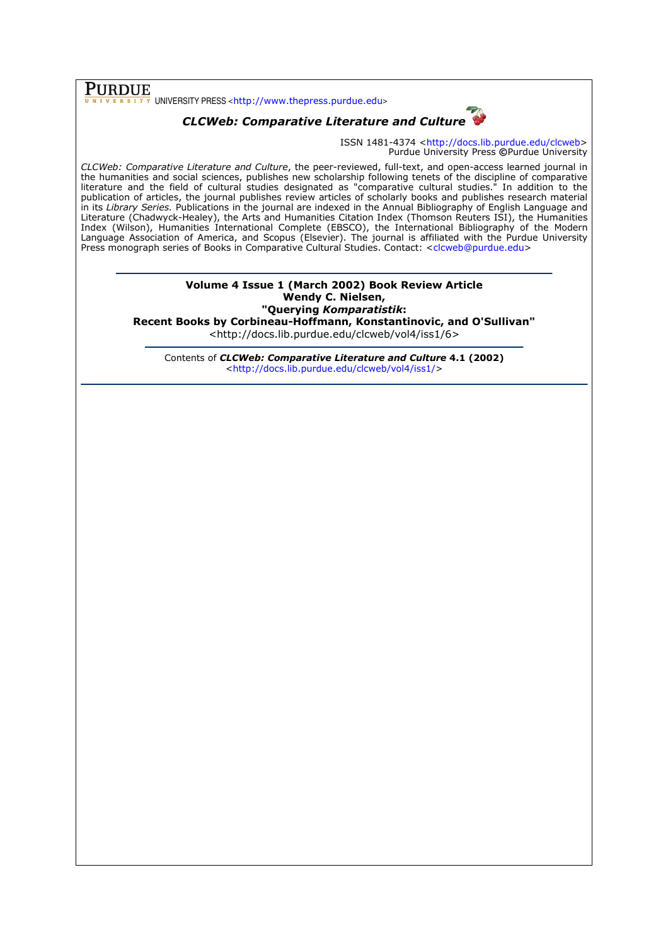# **PURDUE**

 $\overline{\overline{x}}$  UNIVERSITY PRESS <http://www.thepress.purdue.edu>

# CLCWeb: Comparative Literature and Culture

ISSN 1481-4374 <http://docs.lib.purdue.edu/clcweb> Purdue University Press ©Purdue University

CLCWeb: Comparative Literature and Culture, the peer-reviewed, full-text, and open-access learned journal in the humanities and social sciences, publishes new scholarship following tenets of the discipline of comparative literature and the field of cultural studies designated as "comparative cultural studies." In addition to the publication of articles, the journal publishes review articles of scholarly books and publishes research material in its Library Series. Publications in the journal are indexed in the Annual Bibliography of English Language and Literature (Chadwyck-Healey), the Arts and Humanities Citation Index (Thomson Reuters ISI), the Humanities Index (Wilson), Humanities International Complete (EBSCO), the International Bibliography of the Modern Language Association of America, and Scopus (Elsevier). The journal is affiliated with the Purdue University Press monograph series of Books in Comparative Cultural Studies. Contact: <clcweb@purdue.edu>

#### Volume 4 Issue 1 (March 2002) Book Review Article Wendy C. Nielsen, "Querying Komparatistik:

Recent Books by Corbineau-Hoffmann, Konstantinovic, and O'Sullivan"

<http://docs.lib.purdue.edu/clcweb/vol4/iss1/6>

Contents of CLCWeb: Comparative Literature and Culture 4.1 (2002) <http://docs.lib.purdue.edu/clcweb/vol4/iss1/>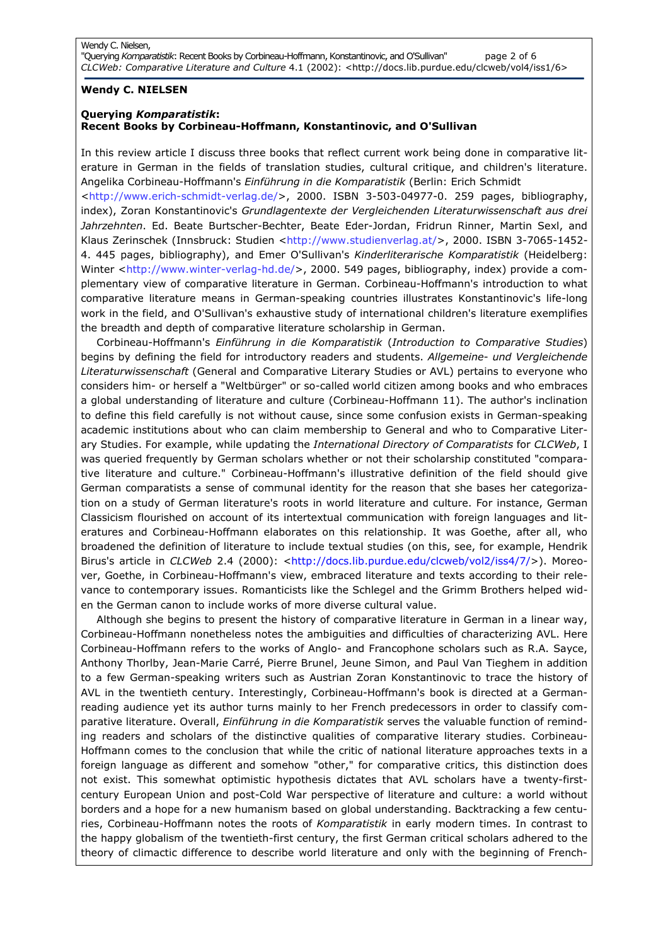## Wendy C. NIELSEN

## Querying Komparatistik: Recent Books by Corbineau-Hoffmann, Konstantinovic, and O'Sullivan

In this review article I discuss three books that reflect current work being done in comparative literature in German in the fields of translation studies, cultural critique, and children's literature. Angelika Corbineau-Hoffmann's Einführung in die Komparatistik (Berlin: Erich Schmidt

<http://www.erich-schmidt-verlag.de/>, 2000. ISBN 3-503-04977-0. 259 pages, bibliography, index), Zoran Konstantinovic's Grundlagentexte der Vergleichenden Literaturwissenschaft aus drei Jahrzehnten. Ed. Beate Burtscher-Bechter, Beate Eder-Jordan, Fridrun Rinner, Martin Sexl, and Klaus Zerinschek (Innsbruck: Studien <http://www.studienverlag.at/>, 2000. ISBN 3-7065-1452-4. 445 pages, bibliography), and Emer O'Sullivan's Kinderliterarische Komparatistik (Heidelberg: Winter <http://www.winter-verlag-hd.de/>, 2000. 549 pages, bibliography, index) provide a complementary view of comparative literature in German. Corbineau-Hoffmann's introduction to what comparative literature means in German-speaking countries illustrates Konstantinovic's life-long work in the field, and O'Sullivan's exhaustive study of international children's literature exemplifies the breadth and depth of comparative literature scholarship in German.

Corbineau-Hoffmann's Einführung in die Komparatistik (Introduction to Comparative Studies) begins by defining the field for introductory readers and students. Allgemeine- und Vergleichende Literaturwissenschaft (General and Comparative Literary Studies or AVL) pertains to everyone who considers him- or herself a "Weltbürger" or so-called world citizen among books and who embraces a global understanding of literature and culture (Corbineau-Hoffmann 11). The author's inclination to define this field carefully is not without cause, since some confusion exists in German-speaking academic institutions about who can claim membership to General and who to Comparative Literary Studies. For example, while updating the International Directory of Comparatists for CLCWeb, I was queried frequently by German scholars whether or not their scholarship constituted "comparative literature and culture." Corbineau-Hoffmann's illustrative definition of the field should give German comparatists a sense of communal identity for the reason that she bases her categorization on a study of German literature's roots in world literature and culture. For instance, German Classicism flourished on account of its intertextual communication with foreign languages and literatures and Corbineau-Hoffmann elaborates on this relationship. It was Goethe, after all, who broadened the definition of literature to include textual studies (on this, see, for example, Hendrik Birus's article in CLCWeb 2.4 (2000): <http://docs.lib.purdue.edu/clcweb/vol2/iss4/7/>). Moreover, Goethe, in Corbineau-Hoffmann's view, embraced literature and texts according to their relevance to contemporary issues. Romanticists like the Schlegel and the Grimm Brothers helped widen the German canon to include works of more diverse cultural value.

Although she begins to present the history of comparative literature in German in a linear way, Corbineau-Hoffmann nonetheless notes the ambiguities and difficulties of characterizing AVL. Here Corbineau-Hoffmann refers to the works of Anglo- and Francophone scholars such as R.A. Sayce, Anthony Thorlby, Jean-Marie Carré, Pierre Brunel, Jeune Simon, and Paul Van Tieghem in addition to a few German-speaking writers such as Austrian Zoran Konstantinovic to trace the history of AVL in the twentieth century. Interestingly, Corbineau-Hoffmann's book is directed at a Germanreading audience yet its author turns mainly to her French predecessors in order to classify comparative literature. Overall, Einführung in die Komparatistik serves the valuable function of reminding readers and scholars of the distinctive qualities of comparative literary studies. Corbineau-Hoffmann comes to the conclusion that while the critic of national literature approaches texts in a foreign language as different and somehow "other," for comparative critics, this distinction does not exist. This somewhat optimistic hypothesis dictates that AVL scholars have a twenty-firstcentury European Union and post-Cold War perspective of literature and culture: a world without borders and a hope for a new humanism based on global understanding. Backtracking a few centuries, Corbineau-Hoffmann notes the roots of Komparatistik in early modern times. In contrast to the happy globalism of the twentieth-first century, the first German critical scholars adhered to the theory of climactic difference to describe world literature and only with the beginning of French-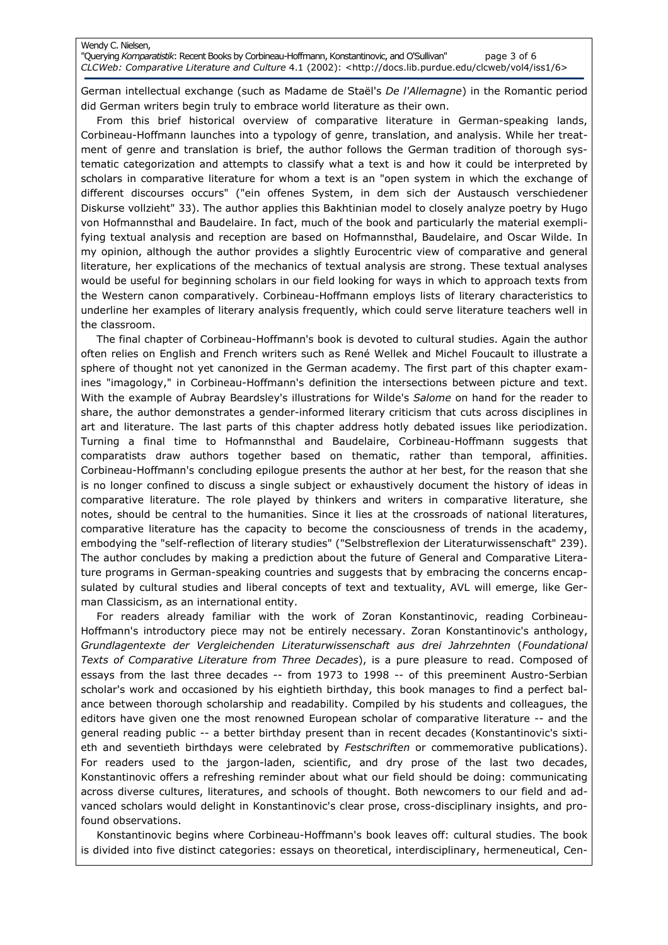#### Wendy C. Nielsen,

"Querying Komparatistik: Recent Books by Corbineau-Hoffmann, Konstantinovic, and O'Sullivan" page 3 of 6 CLCWeb: Comparative Literature and Culture 4.1 (2002): <http://docs.lib.purdue.edu/clcweb/vol4/iss1/6>

German intellectual exchange (such as Madame de Staël's De l'Allemagne) in the Romantic period did German writers begin truly to embrace world literature as their own.

From this brief historical overview of comparative literature in German-speaking lands, Corbineau-Hoffmann launches into a typology of genre, translation, and analysis. While her treatment of genre and translation is brief, the author follows the German tradition of thorough systematic categorization and attempts to classify what a text is and how it could be interpreted by scholars in comparative literature for whom a text is an "open system in which the exchange of different discourses occurs" ("ein offenes System, in dem sich der Austausch verschiedener Diskurse vollzieht" 33). The author applies this Bakhtinian model to closely analyze poetry by Hugo von Hofmannsthal and Baudelaire. In fact, much of the book and particularly the material exemplifying textual analysis and reception are based on Hofmannsthal, Baudelaire, and Oscar Wilde. In my opinion, although the author provides a slightly Eurocentric view of comparative and general literature, her explications of the mechanics of textual analysis are strong. These textual analyses would be useful for beginning scholars in our field looking for ways in which to approach texts from the Western canon comparatively. Corbineau-Hoffmann employs lists of literary characteristics to underline her examples of literary analysis frequently, which could serve literature teachers well in the classroom.

The final chapter of Corbineau-Hoffmann's book is devoted to cultural studies. Again the author often relies on English and French writers such as René Wellek and Michel Foucault to illustrate a sphere of thought not yet canonized in the German academy. The first part of this chapter examines "imagology," in Corbineau-Hoffmann's definition the intersections between picture and text. With the example of Aubray Beardsley's illustrations for Wilde's Salome on hand for the reader to share, the author demonstrates a gender-informed literary criticism that cuts across disciplines in art and literature. The last parts of this chapter address hotly debated issues like periodization. Turning a final time to Hofmannsthal and Baudelaire, Corbineau-Hoffmann suggests that comparatists draw authors together based on thematic, rather than temporal, affinities. Corbineau-Hoffmann's concluding epilogue presents the author at her best, for the reason that she is no longer confined to discuss a single subject or exhaustively document the history of ideas in comparative literature. The role played by thinkers and writers in comparative literature, she notes, should be central to the humanities. Since it lies at the crossroads of national literatures, comparative literature has the capacity to become the consciousness of trends in the academy, embodying the "self-reflection of literary studies" ("Selbstreflexion der Literaturwissenschaft" 239). The author concludes by making a prediction about the future of General and Comparative Literature programs in German-speaking countries and suggests that by embracing the concerns encapsulated by cultural studies and liberal concepts of text and textuality, AVL will emerge, like German Classicism, as an international entity.

For readers already familiar with the work of Zoran Konstantinovic, reading Corbineau-Hoffmann's introductory piece may not be entirely necessary. Zoran Konstantinovic's anthology, Grundlagentexte der Vergleichenden Literaturwissenschaft aus drei Jahrzehnten (Foundational Texts of Comparative Literature from Three Decades), is a pure pleasure to read. Composed of essays from the last three decades -- from 1973 to 1998 -- of this preeminent Austro-Serbian scholar's work and occasioned by his eightieth birthday, this book manages to find a perfect balance between thorough scholarship and readability. Compiled by his students and colleagues, the editors have given one the most renowned European scholar of comparative literature -- and the general reading public -- a better birthday present than in recent decades (Konstantinovic's sixtieth and seventieth birthdays were celebrated by Festschriften or commemorative publications). For readers used to the jargon-laden, scientific, and dry prose of the last two decades, Konstantinovic offers a refreshing reminder about what our field should be doing: communicating across diverse cultures, literatures, and schools of thought. Both newcomers to our field and advanced scholars would delight in Konstantinovic's clear prose, cross-disciplinary insights, and profound observations.

Konstantinovic begins where Corbineau-Hoffmann's book leaves off: cultural studies. The book is divided into five distinct categories: essays on theoretical, interdisciplinary, hermeneutical, Cen-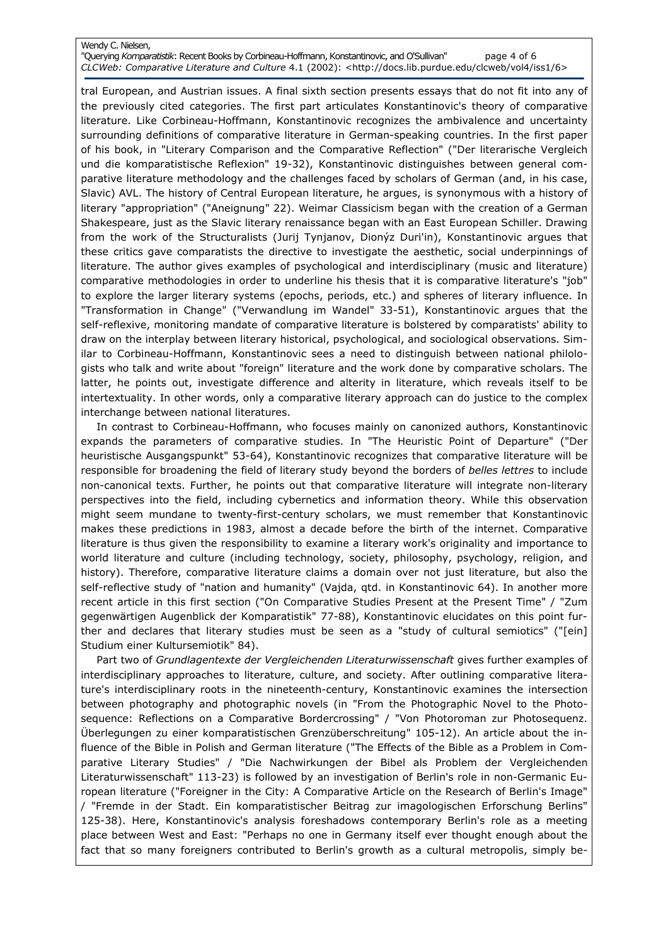#### Wendy C. Nielsen, "Querying Komparatistik: Recent Books by Corbineau-Hoffmann, Konstantinovic, and O'Sullivan" page 4 of 6

CLCWeb: Comparative Literature and Culture 4.1 (2002): <http://docs.lib.purdue.edu/clcweb/vol4/iss1/6>

tral European, and Austrian issues. A final sixth section presents essays that do not fit into any of the previously cited categories. The first part articulates Konstantinovic's theory of comparative literature. Like Corbineau-Hoffmann, Konstantinovic recognizes the ambivalence and uncertainty surrounding definitions of comparative literature in German-speaking countries. In the first paper of his book, in "Literary Comparison and the Comparative Reflection" ("Der literarische Vergleich und die komparatistische Reflexion" 19-32), Konstantinovic distinguishes between general comparative literature methodology and the challenges faced by scholars of German (and, in his case, Slavic) AVL. The history of Central European literature, he argues, is synonymous with a history of literary "appropriation" ("Aneignung" 22). Weimar Classicism began with the creation of a German Shakespeare, just as the Slavic literary renaissance began with an East European Schiller. Drawing from the work of the Structuralists (Jurij Tynjanov, Dionýz Duri'in), Konstantinovic argues that these critics gave comparatists the directive to investigate the aesthetic, social underpinnings of literature. The author gives examples of psychological and interdisciplinary (music and literature) comparative methodologies in order to underline his thesis that it is comparative literature's "job" to explore the larger literary systems (epochs, periods, etc.) and spheres of literary influence. In "Transformation in Change" ("Verwandlung im Wandel" 33-51), Konstantinovic argues that the self-reflexive, monitoring mandate of comparative literature is bolstered by comparatists' ability to draw on the interplay between literary historical, psychological, and sociological observations. Similar to Corbineau-Hoffmann, Konstantinovic sees a need to distinguish between national philologists who talk and write about "foreign" literature and the work done by comparative scholars. The latter, he points out, investigate difference and alterity in literature, which reveals itself to be intertextuality. In other words, only a comparative literary approach can do justice to the complex interchange between national literatures.

In contrast to Corbineau-Hoffmann, who focuses mainly on canonized authors, Konstantinovic expands the parameters of comparative studies. In "The Heuristic Point of Departure" ("Der heuristische Ausgangspunkt" 53-64), Konstantinovic recognizes that comparative literature will be responsible for broadening the field of literary study beyond the borders of belles lettres to include non-canonical texts. Further, he points out that comparative literature will integrate non-literary perspectives into the field, including cybernetics and information theory. While this observation might seem mundane to twenty-first-century scholars, we must remember that Konstantinovic makes these predictions in 1983, almost a decade before the birth of the internet. Comparative literature is thus given the responsibility to examine a literary work's originality and importance to world literature and culture (including technology, society, philosophy, psychology, religion, and history). Therefore, comparative literature claims a domain over not just literature, but also the self-reflective study of "nation and humanity" (Vajda, qtd. in Konstantinovic 64). In another more recent article in this first section ("On Comparative Studies Present at the Present Time" / "Zum gegenwärtigen Augenblick der Komparatistik" 77-88), Konstantinovic elucidates on this point further and declares that literary studies must be seen as a "study of cultural semiotics" ("[ein] Studium einer Kultursemiotik" 84).

Part two of Grundlagentexte der Vergleichenden Literaturwissenschaft gives further examples of interdisciplinary approaches to literature, culture, and society. After outlining comparative literature's interdisciplinary roots in the nineteenth-century, Konstantinovic examines the intersection between photography and photographic novels (in "From the Photographic Novel to the Photosequence: Reflections on a Comparative Bordercrossing" / "Von Photoroman zur Photosequenz. Überlegungen zu einer komparatistischen Grenzüberschreitung" 105-12). An article about the influence of the Bible in Polish and German literature ("The Effects of the Bible as a Problem in Comparative Literary Studies" / "Die Nachwirkungen der Bibel als Problem der Vergleichenden Literaturwissenschaft" 113-23) is followed by an investigation of Berlin's role in non-Germanic European literature ("Foreigner in the City: A Comparative Article on the Research of Berlin's Image" / "Fremde in der Stadt. Ein komparatistischer Beitrag zur imagologischen Erforschung Berlins" 125-38). Here, Konstantinovic's analysis foreshadows contemporary Berlin's role as a meeting place between West and East: "Perhaps no one in Germany itself ever thought enough about the fact that so many foreigners contributed to Berlin's growth as a cultural metropolis, simply be-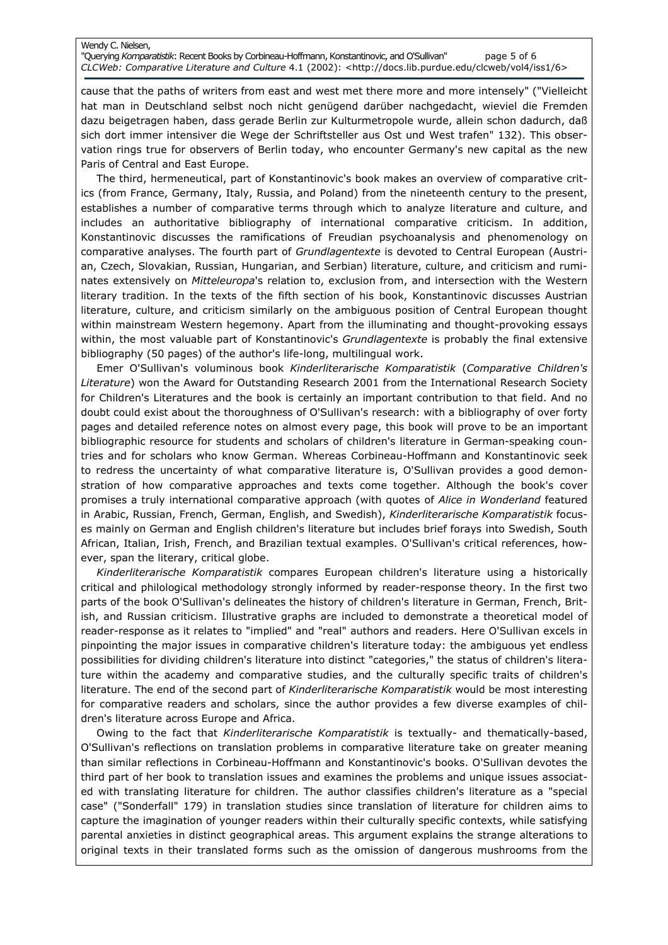#### Wendy C. Nielsen, "Querying Komparatistik: Recent Books by Corbineau-Hoffmann, Konstantinovic, and O'Sullivan" page 5 of 6 CLCWeb: Comparative Literature and Culture 4.1 (2002): <http://docs.lib.purdue.edu/clcweb/vol4/iss1/6>

cause that the paths of writers from east and west met there more and more intensely" ("Vielleicht hat man in Deutschland selbst noch nicht genügend darüber nachgedacht, wieviel die Fremden dazu beigetragen haben, dass gerade Berlin zur Kulturmetropole wurde, allein schon dadurch, daß sich dort immer intensiver die Wege der Schriftsteller aus Ost und West trafen" 132). This observation rings true for observers of Berlin today, who encounter Germany's new capital as the new Paris of Central and East Europe.

The third, hermeneutical, part of Konstantinovic's book makes an overview of comparative critics (from France, Germany, Italy, Russia, and Poland) from the nineteenth century to the present, establishes a number of comparative terms through which to analyze literature and culture, and includes an authoritative bibliography of international comparative criticism. In addition, Konstantinovic discusses the ramifications of Freudian psychoanalysis and phenomenology on comparative analyses. The fourth part of Grundlagentexte is devoted to Central European (Austrian, Czech, Slovakian, Russian, Hungarian, and Serbian) literature, culture, and criticism and ruminates extensively on Mitteleuropa's relation to, exclusion from, and intersection with the Western literary tradition. In the texts of the fifth section of his book, Konstantinovic discusses Austrian literature, culture, and criticism similarly on the ambiguous position of Central European thought within mainstream Western hegemony. Apart from the illuminating and thought-provoking essays within, the most valuable part of Konstantinovic's Grundlagentexte is probably the final extensive bibliography (50 pages) of the author's life-long, multilingual work.

Emer O'Sullivan's voluminous book Kinderliterarische Komparatistik (Comparative Children's Literature) won the Award for Outstanding Research 2001 from the International Research Society for Children's Literatures and the book is certainly an important contribution to that field. And no doubt could exist about the thoroughness of O'Sullivan's research: with a bibliography of over forty pages and detailed reference notes on almost every page, this book will prove to be an important bibliographic resource for students and scholars of children's literature in German-speaking countries and for scholars who know German. Whereas Corbineau-Hoffmann and Konstantinovic seek to redress the uncertainty of what comparative literature is, O'Sullivan provides a good demonstration of how comparative approaches and texts come together. Although the book's cover promises a truly international comparative approach (with quotes of Alice in Wonderland featured in Arabic, Russian, French, German, English, and Swedish), Kinderliterarische Komparatistik focuses mainly on German and English children's literature but includes brief forays into Swedish, South African, Italian, Irish, French, and Brazilian textual examples. O'Sullivan's critical references, however, span the literary, critical globe.

Kinderliterarische Komparatistik compares European children's literature using a historically critical and philological methodology strongly informed by reader-response theory. In the first two parts of the book O'Sullivan's delineates the history of children's literature in German, French, British, and Russian criticism. Illustrative graphs are included to demonstrate a theoretical model of reader-response as it relates to "implied" and "real" authors and readers. Here O'Sullivan excels in pinpointing the major issues in comparative children's literature today: the ambiguous yet endless possibilities for dividing children's literature into distinct "categories," the status of children's literature within the academy and comparative studies, and the culturally specific traits of children's literature. The end of the second part of Kinderliterarische Komparatistik would be most interesting for comparative readers and scholars, since the author provides a few diverse examples of children's literature across Europe and Africa.

Owing to the fact that *Kinderliterarische Komparatistik* is textually- and thematically-based, O'Sullivan's reflections on translation problems in comparative literature take on greater meaning than similar reflections in Corbineau-Hoffmann and Konstantinovic's books. O'Sullivan devotes the third part of her book to translation issues and examines the problems and unique issues associated with translating literature for children. The author classifies children's literature as a "special case" ("Sonderfall" 179) in translation studies since translation of literature for children aims to capture the imagination of younger readers within their culturally specific contexts, while satisfying parental anxieties in distinct geographical areas. This argument explains the strange alterations to original texts in their translated forms such as the omission of dangerous mushrooms from the